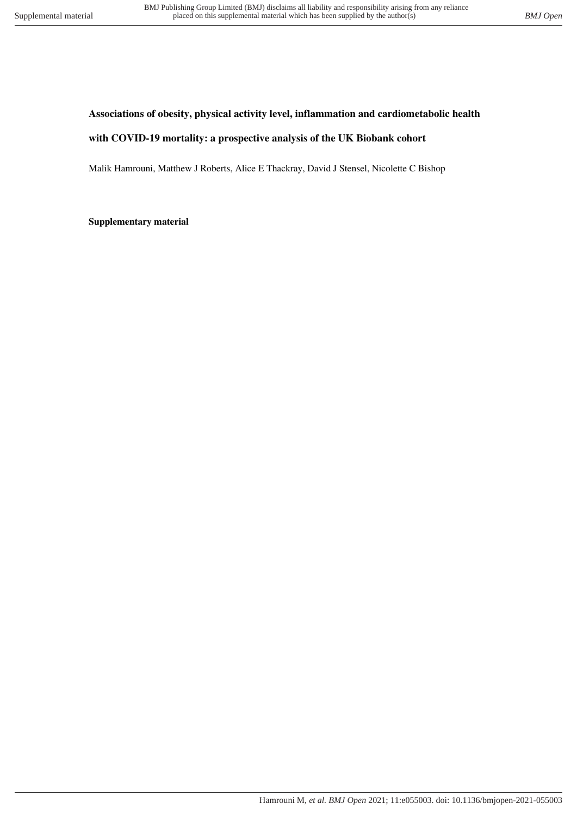## **Associations of obesity, physical activity level, inflammation and cardiometabolic health**

## **with COVID-19 mortality: a prospective analysis of the UK Biobank cohort**

Malik Hamrouni, Matthew J Roberts, Alice E Thackray, David J Stensel, Nicolette C Bishop

**Supplementary material**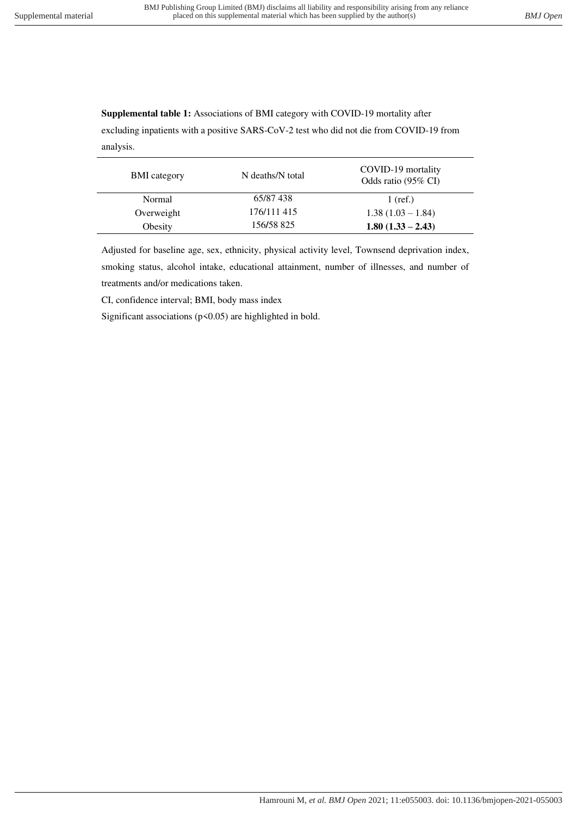**Supplemental table 1:** Associations of BMI category with COVID-19 mortality after excluding inpatients with a positive SARS-CoV-2 test who did not die from COVID-19 from

analysis.

| <b>BMI</b> category | N deaths/N total | COVID-19 mortality<br>Odds ratio (95% CI) |
|---------------------|------------------|-------------------------------------------|
| Normal              | 65/87 438        | $1$ (ref.)                                |
| Overweight          | 176/111 415      | $1.38(1.03 - 1.84)$                       |
| Obesity             | 156/58 825       | $1.80(1.33 - 2.43)$                       |

Adjusted for baseline age, sex, ethnicity, physical activity level, Townsend deprivation index, smoking status, alcohol intake, educational attainment, number of illnesses, and number of treatments and/or medications taken.

CI, confidence interval; BMI, body mass index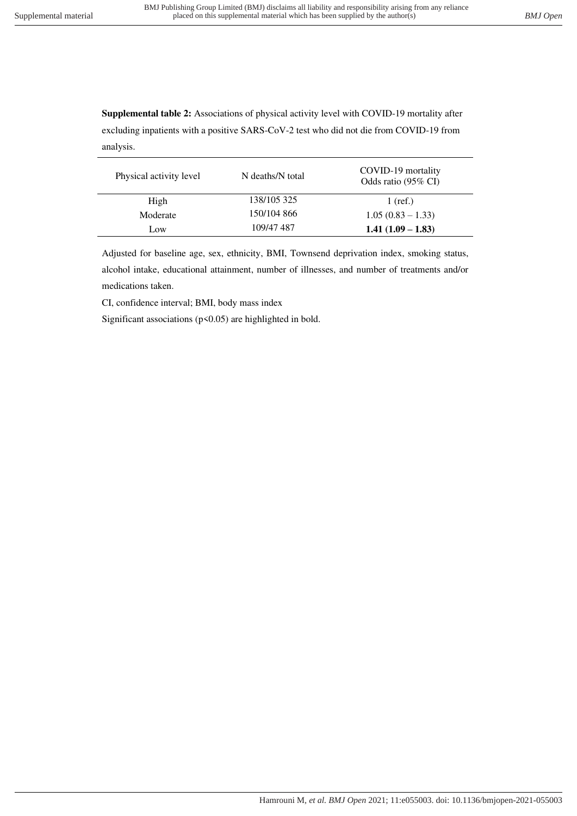**Supplemental table 2:** Associations of physical activity level with COVID-19 mortality after excluding inpatients with a positive SARS-CoV-2 test who did not die from COVID-19 from analysis.

| Physical activity level | N deaths/N total | COVID-19 mortality<br>Odds ratio (95% CI) |
|-------------------------|------------------|-------------------------------------------|
| High                    | 138/105 325      | $1$ (ref.)                                |
| Moderate                | 150/104 866      | $1.05(0.83 - 1.33)$                       |
| Low                     | 109/47 487       | $1.41(1.09 - 1.83)$                       |

Adjusted for baseline age, sex, ethnicity, BMI, Townsend deprivation index, smoking status, alcohol intake, educational attainment, number of illnesses, and number of treatments and/or medications taken.

CI, confidence interval; BMI, body mass index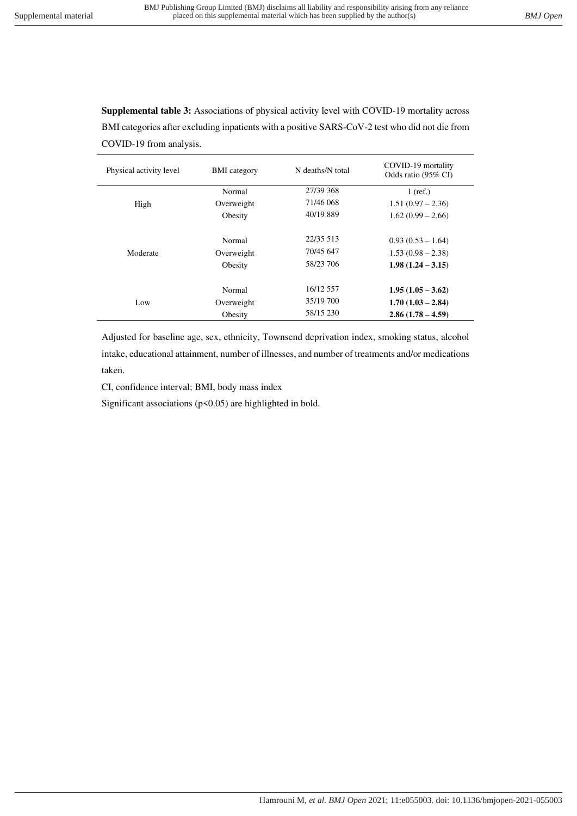**Supplemental table 3:** Associations of physical activity level with COVID-19 mortality across BMI categories after excluding inpatients with a positive SARS-CoV-2 test who did not die from COVID-19 from analysis.

| Physical activity level | <b>BMI</b> category | N deaths/N total | COVID-19 mortality<br>Odds ratio (95% CI) |
|-------------------------|---------------------|------------------|-------------------------------------------|
| High                    | Normal              | 27/39 368        | $1$ (ref.)                                |
|                         | Overweight          | 71/46 068        | $1.51(0.97 - 2.36)$                       |
|                         | Obesity             | 40/19 889        | $1.62(0.99 - 2.66)$                       |
|                         |                     |                  |                                           |
| Moderate                | Normal              | 22/35 513        | $0.93(0.53-1.64)$                         |
|                         | Overweight          | 70/45 647        | $1.53(0.98-2.38)$                         |
|                         | Obesity             | 58/23 706        | $1.98(1.24 - 3.15)$                       |
|                         |                     |                  |                                           |
| Low                     | Normal              | 16/12 557        | $1.95(1.05-3.62)$                         |
|                         | Overweight          | 35/19 700        | $1.70(1.03 - 2.84)$                       |
|                         | Obesity             | 58/15 230        | $2.86(1.78-4.59)$                         |

Adjusted for baseline age, sex, ethnicity, Townsend deprivation index, smoking status, alcohol intake, educational attainment, number of illnesses, and number of treatments and/or medications taken.

CI, confidence interval; BMI, body mass index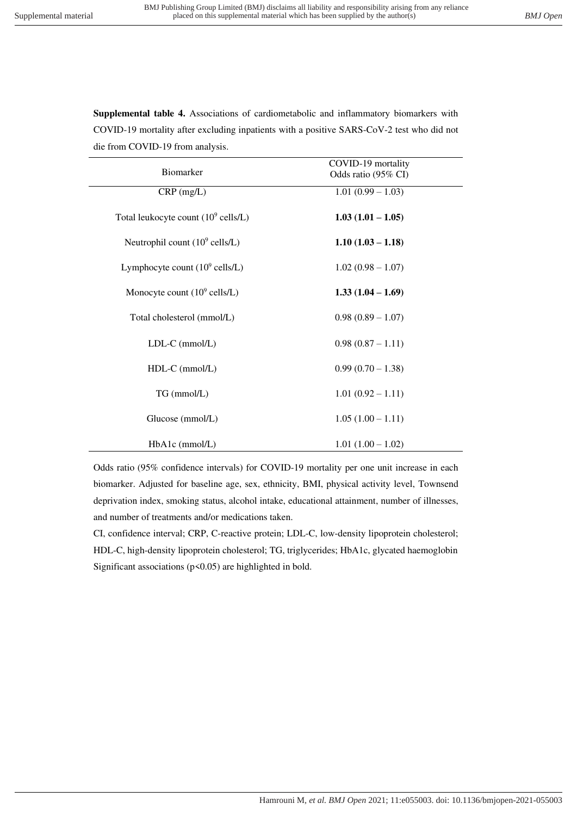| Biomarker                                      | COVID-19 mortality<br>Odds ratio (95% CI) |  |
|------------------------------------------------|-------------------------------------------|--|
| $CRP$ (mg/L)                                   | $1.01(0.99 - 1.03)$                       |  |
| Total leukocyte count $(10^9 \text{ cells/L})$ | $1.03(1.01 - 1.05)$                       |  |
| Neutrophil count $(10^9 \text{ cells/L})$      | $1.10(1.03 - 1.18)$                       |  |
| Lymphocyte count $(10^9 \text{ cells/L})$      | $1.02(0.98 - 1.07)$                       |  |
| Monocyte count $(10^9 \text{ cells/L})$        | $1.33(1.04 - 1.69)$                       |  |
| Total cholesterol (mmol/L)                     | $0.98(0.89 - 1.07)$                       |  |
| $LDL-C$ (mmol/ $L$ )                           | $0.98(0.87 - 1.11)$                       |  |
| $HDL-C$ (mmol/L)                               | $0.99(0.70 - 1.38)$                       |  |
| TG (mmol/L)                                    | $1.01(0.92 - 1.11)$                       |  |
| Glucose (mmol/L)                               | $1.05(1.00 - 1.11)$                       |  |
| HbA1c (mmol/L)                                 | $1.01(1.00 - 1.02)$                       |  |

**Supplemental table 4.** Associations of cardiometabolic and inflammatory biomarkers with COVID-19 mortality after excluding inpatients with a positive SARS-CoV-2 test who did not die from COVID-19 from analysis.

Odds ratio (95% confidence intervals) for COVID-19 mortality per one unit increase in each biomarker. Adjusted for baseline age, sex, ethnicity, BMI, physical activity level, Townsend deprivation index, smoking status, alcohol intake, educational attainment, number of illnesses, and number of treatments and/or medications taken.

CI, confidence interval; CRP, C-reactive protein; LDL-C, low-density lipoprotein cholesterol; HDL-C, high-density lipoprotein cholesterol; TG, triglycerides; HbA1c, glycated haemoglobin Significant associations  $(p<0.05)$  are highlighted in bold.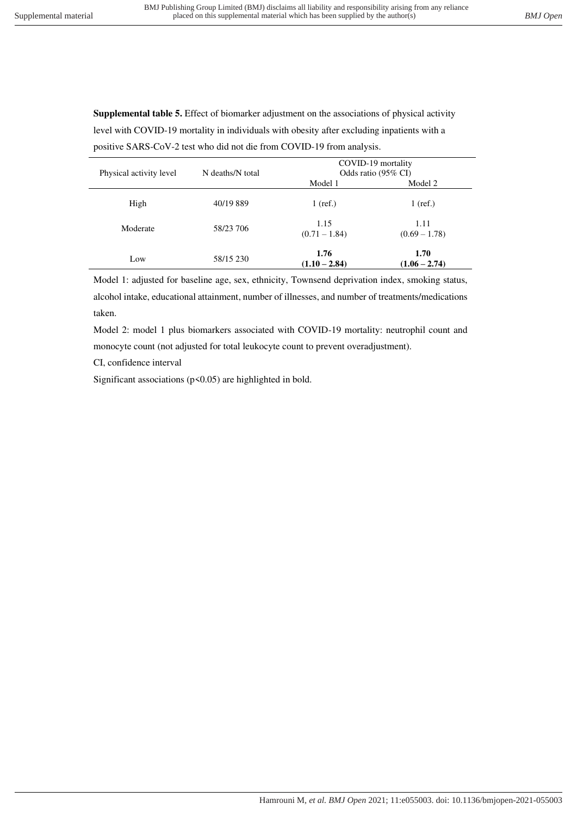**Supplemental table 5.** Effect of biomarker adjustment on the associations of physical activity level with COVID-19 mortality in individuals with obesity after excluding inpatients with a positive SARS-CoV-2 test who did not die from COVID-19 from analysis.

| Physical activity level | N deaths/N total | COVID-19 mortality<br>Odds ratio (95% CI) |                         |
|-------------------------|------------------|-------------------------------------------|-------------------------|
|                         |                  | Model 1                                   | Model 2                 |
| High                    | 40/19 889        | $1$ (ref.)                                | $1$ (ref.)              |
| Moderate                | 58/23 706        | 1.15<br>$(0.71 - 1.84)$                   | 1.11<br>$(0.69 - 1.78)$ |
| Low                     | 58/15 230        | 1.76<br>$(1.10 - 2.84)$                   | 1.70<br>$(1.06 - 2.74)$ |

Model 1: adjusted for baseline age, sex, ethnicity, Townsend deprivation index, smoking status, alcohol intake, educational attainment, number of illnesses, and number of treatments/medications taken.

Model 2: model 1 plus biomarkers associated with COVID-19 mortality: neutrophil count and monocyte count (not adjusted for total leukocyte count to prevent overadjustment).

CI, confidence interval